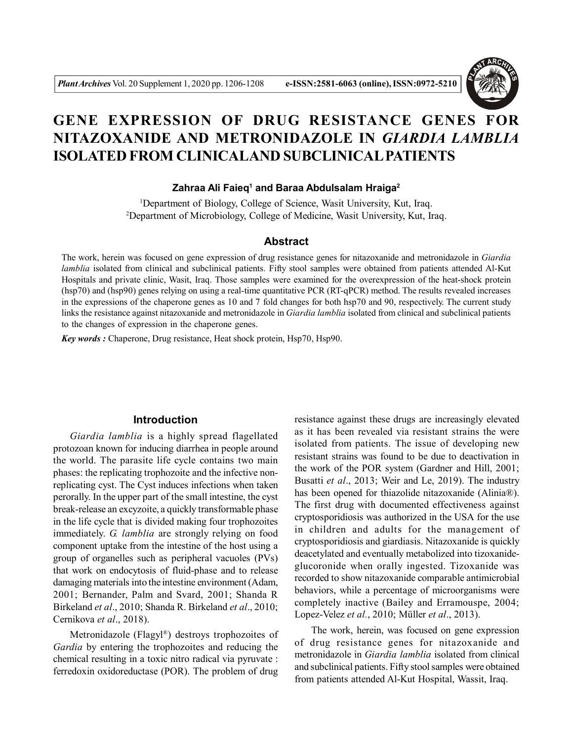

# **GENE EXPRESSION OF DRUG RESISTANCE GENES FOR NITAZOXANIDE AND METRONIDAZOLE IN** *GIARDIA LAMBLIA* **ISOLATED FROM CLINICALAND SUBCLINICAL PATIENTS**

## **Zahraa Ali Faieq<sup>1</sup> and Baraa Abdulsalam Hraiga<sup>2</sup>**

<sup>1</sup>Department of Biology, College of Science, Wasit University, Kut, Iraq. <sup>2</sup>Department of Microbiology, College of Medicine, Wasit University, Kut, Iraq.

# **Abstract**

The work, herein was focused on gene expression of drug resistance genes for nitazoxanide and metronidazole in *Giardia lamblia* isolated from clinical and subclinical patients. Fifty stool samples were obtained from patients attended Al-Kut Hospitals and private clinic, Wasit, Iraq. Those samples were examined for the overexpression of the heat-shock protein (hsp70) and (hsp90) genes relying on using a real-time quantitative PCR (RT-qPCR) method. The results revealed increases in the expressions of the chaperone genes as 10 and 7 fold changes for both hsp70 and 90, respectively. The current study links the resistance against nitazoxanide and metronidazole in *Giardia lamblia* isolated from clinical and subclinical patients to the changes of expression in the chaperone genes.

*Key words :* Chaperone, Drug resistance, Heat shock protein, Hsp70, Hsp90.

## **Introduction**

*Giardia lamblia* is a highly spread flagellated protozoan known for inducing diarrhea in people around the world. The parasite life cycle contains two main phases: the replicating trophozoite and the infective nonreplicating cyst. The Cyst induces infections when taken perorally. In the upper part of the small intestine, the cyst break-release an excyzoite, a quickly transformable phase in the life cycle that is divided making four trophozoites immediately. *G. lamblia* are strongly relying on food component uptake from the intestine of the host using a group of organelles such as peripheral vacuoles (PVs) that work on endocytosis of fluid-phase and to release damaging materials into the intestine environment (Adam, 2001; Bernander, Palm and Svard, 2001; Shanda R Birkeland *et al*., 2010; Shanda R. Birkeland *et al*., 2010; Cernikova *et al*., 2018).

Metronidazole (Flagyl® ) destroys trophozoites of *Gardia* by entering the trophozoites and reducing the chemical resulting in a toxic nitro radical via pyruvate : ferredoxin oxidoreductase (POR). The problem of drug

resistance against these drugs are increasingly elevated as it has been revealed via resistant strains the were isolated from patients. The issue of developing new resistant strains was found to be due to deactivation in the work of the POR system (Gardner and Hill, 2001; Busatti *et al*., 2013; Weir and Le, 2019). The industry has been opened for thiazolide nitazoxanide (Alinia®). The first drug with documented effectiveness against cryptosporidiosis was authorized in the USA for the use in children and adults for the management of cryptosporidiosis and giardiasis. Nitazoxanide is quickly deacetylated and eventually metabolized into tizoxanideglucoronide when orally ingested. Tizoxanide was recorded to show nitazoxanide comparable antimicrobial behaviors, while a percentage of microorganisms were completely inactive (Bailey and Erramouspe, 2004; Lopez-Velez *et al.*, 2010; Müller *et al*., 2013).

The work, herein, was focused on gene expression of drug resistance genes for nitazoxanide and metronidazole in *Giardia lamblia* isolated from clinical and subclinical patients. Fifty stool samples were obtained from patients attended Al-Kut Hospital, Wassit, Iraq.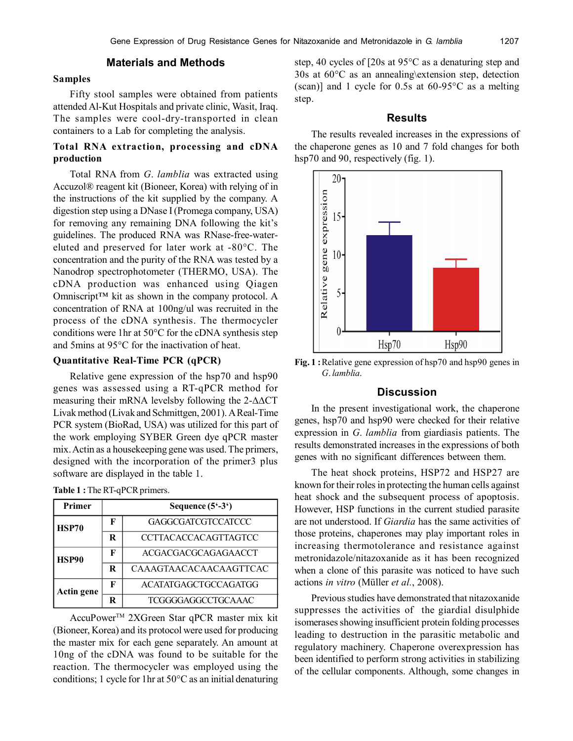#### **Samples**

Fifty stool samples were obtained from patients attended Al-Kut Hospitals and private clinic, Wasit, Iraq. The samples were cool-dry-transported in clean containers to a Lab for completing the analysis.

# **Total RNA extraction, processing and cDNA production**

Total RNA from *G*. *lamblia* was extracted using Accuzol® reagent kit (Bioneer, Korea) with relying of in the instructions of the kit supplied by the company. A digestion step using a DNase I (Promega company, USA) for removing any remaining DNA following the kit's guidelines. The produced RNA was RNase-free-watereluted and preserved for later work at -80°C. The concentration and the purity of the RNA was tested by a Nanodrop spectrophotometer (THERMO, USA). The cDNA production was enhanced using Qiagen Omniscript™ kit as shown in the company protocol. A concentration of RNA at 100ng/ul was recruited in the process of the cDNA synthesis. The thermocycler conditions were 1hr at 50°C for the cDNA synthesis step and 5mins at 95°C for the inactivation of heat.

## **Quantitative Real-Time PCR (qPCR)**

Relative gene expression of the hsp70 and hsp90 genes was assessed using a RT-qPCR method for measuring their mRNA levelsby following the  $2-\Delta\Delta CT$ Livak method (Livak and Schmittgen, 2001). A Real-Time PCR system (BioRad, USA) was utilized for this part of the work employing SYBER Green dye qPCR master mix. Actin as a housekeeping gene was used. The primers, designed with the incorporation of the primer3 plus software are displayed in the table 1.

| Table 1: The RT-qPCR primers. |
|-------------------------------|
|-------------------------------|

| Primer       | Sequence $(5^{\circ}-3^{\circ})$ |                             |  |
|--------------|----------------------------------|-----------------------------|--|
| <b>HSP70</b> | F                                | <b>GAGGCGATCGTCCATCCC</b>   |  |
|              | R                                | <b>CCTTACACCACAGTTAGTCC</b> |  |
| HSP90        | F                                | ACGACGACGCAGAGAACCT         |  |
|              | R                                | CAAAGTAACACAACAAGTTCAC      |  |
| Actin gene   | F                                | ACATATGAGCTGCCAGATGG        |  |
|              | R                                | TCGGGGAGGCCTGCAAAC          |  |

AccuPower<sup>™</sup> 2XGreen Star qPCR master mix kit (Bioneer, Korea) and its protocol were used for producing the master mix for each gene separately. An amount at 10ng of the cDNA was found to be suitable for the reaction. The thermocycler was employed using the conditions; 1 cycle for 1hr at 50°C as an initial denaturing

step, 40 cycles of [20s at 95°C as a denaturing step and 30s at 60°C as an annealing\extension step, detection (scan)] and 1 cycle for 0.5s at 60-95°C as a melting step.

## **Results**

The results revealed increases in the expressions of the chaperone genes as 10 and 7 fold changes for both hsp70 and 90, respectively (fig. 1).



**Fig. 1 :**Relative gene expression of hsp70 and hsp90 genes in *G*. *lamblia*.

## **Discussion**

In the present investigational work, the chaperone genes, hsp70 and hsp90 were checked for their relative expression in *G*. *lamblia* from giardiasis patients. The results demonstrated increases in the expressions of both genes with no significant differences between them.

The heat shock proteins, HSP72 and HSP27 are known for their roles in protecting the human cells against heat shock and the subsequent process of apoptosis. However, HSP functions in the current studied parasite are not understood. If *Giardia* has the same activities of those proteins, chaperones may play important roles in increasing thermotolerance and resistance against metronidazole/nitazoxanide as it has been recognized when a clone of this parasite was noticed to have such actions *in vitro* (Müller *et al.*, 2008).

Previous studies have demonstrated that nitazoxanide suppresses the activities of the giardial disulphide isomerases showing insufficient protein folding processes leading to destruction in the parasitic metabolic and regulatory machinery. Chaperone overexpression has been identified to perform strong activities in stabilizing of the cellular components. Although, some changes in